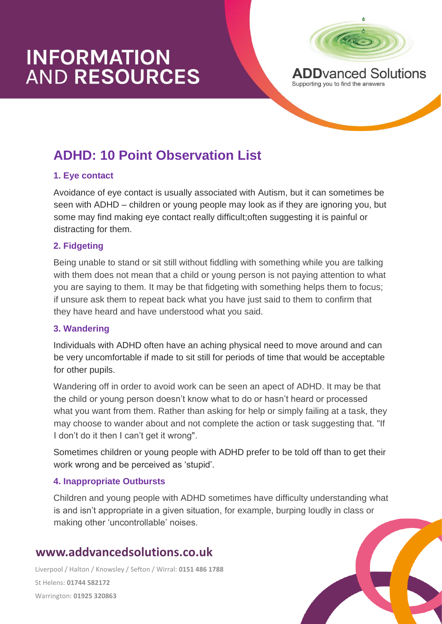# **INFORMATION AND RESOURCES**



## **ADHD: 10 Point Observation List**

#### **1. Eye contact**

Avoidance of eye contact is usually associated with Autism, but it can sometimes be seen with ADHD – children or young people may look as if they are ignoring you, but some may find making eye contact really difficult;often suggesting it is painful or distracting for them.

#### **2. Fidgeting**

Being unable to stand or sit still without fiddling with something while you are talking with them does not mean that a child or young person is not paying attention to what you are saying to them. It may be that fidgeting with something helps them to focus; if unsure ask them to repeat back what you have just said to them to confirm that they have heard and have understood what you said.

#### **3. Wandering**

Individuals with ADHD often have an aching physical need to move around and can be very uncomfortable if made to sit still for periods of time that would be acceptable for other pupils.

Wandering off in order to avoid work can be seen an apect of ADHD. It may be that the child or young person doesn't know what to do or hasn't heard or processed what you want from them. Rather than asking for help or simply failing at a task, they may choose to wander about and not complete the action or task suggesting that. "If I don't do it then I can't get it wrong".

Sometimes children or young people with ADHD prefer to be told off than to get their work wrong and be perceived as 'stupid'.

#### **4. Inappropriate Outbursts**

Children and young people with ADHD sometimes have difficulty understanding what is and isn't appropriate in a given situation, for example, burping loudly in class or making other 'uncontrollable' noises.

### **www.addvancedsolutions.co.uk**

Liverpool / Halton / Knowsley / Sefton / Wirral: **0151 486 1788** St Helens: **01744 582172**  Warrington: **01925 320863**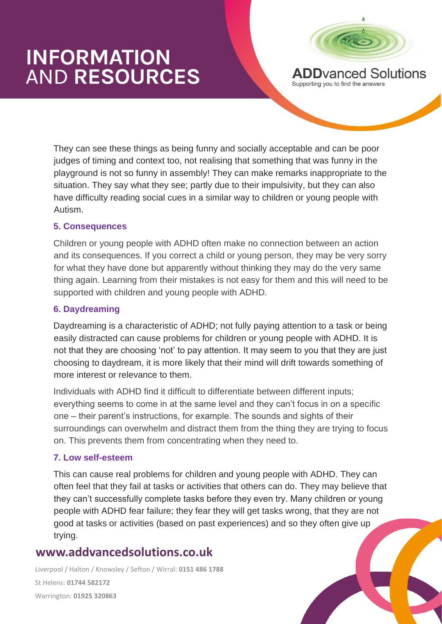## **INFORMATION AND RESOURCES**



Supporting you to find the answers

They can see these things as being funny and socially acceptable and can be poor judges of timing and context too, not realising that something that was funny in the playground is not so funny in assembly! They can make remarks inappropriate to the situation. They say what they see; partly due to their impulsivity, but they can also have difficulty reading social cues in a similar way to children or young people with Autism.

#### **5. Consequences**

Children or young people with ADHD often make no connection between an action and its consequences. If you correct a child or young person, they may be very sorry for what they have done but apparently without thinking they may do the very same thing again. Learning from their mistakes is not easy for them and this will need to be supported with children and young people with ADHD.

#### **6. Daydreaming**

Daydreaming is a characteristic of ADHD; not fully paying attention to a task or being easily distracted can cause problems for children or young people with ADHD. It is not that they are choosing 'not' to pay attention. It may seem to you that they are just choosing to daydream, it is more likely that their mind will drift towards something of more interest or relevance to them.

Individuals with ADHD find it difficult to differentiate between different inputs; everything seems to come in at the same level and they can't focus in on a specific one – their parent's instructions, for example. The sounds and sights of their surroundings can overwhelm and distract them from the thing they are trying to focus on. This prevents them from concentrating when they need to.

#### **7. Low self-esteem**

This can cause real problems for children and young people with ADHD. They can often feel that they fail at tasks or activities that others can do. They may believe that they can't successfully complete tasks before they even try. Many children or young people with ADHD fear failure; they fear they will get tasks wrong, that they are not good at tasks or activities (based on past experiences) and so they often give up trying.

### **www.addvancedsolutions.co.uk**

Liverpool / Halton / Knowsley / Sefton / Wirral: **0151 486 1788** St Helens: **01744 582172**  Warrington: **01925 320863**